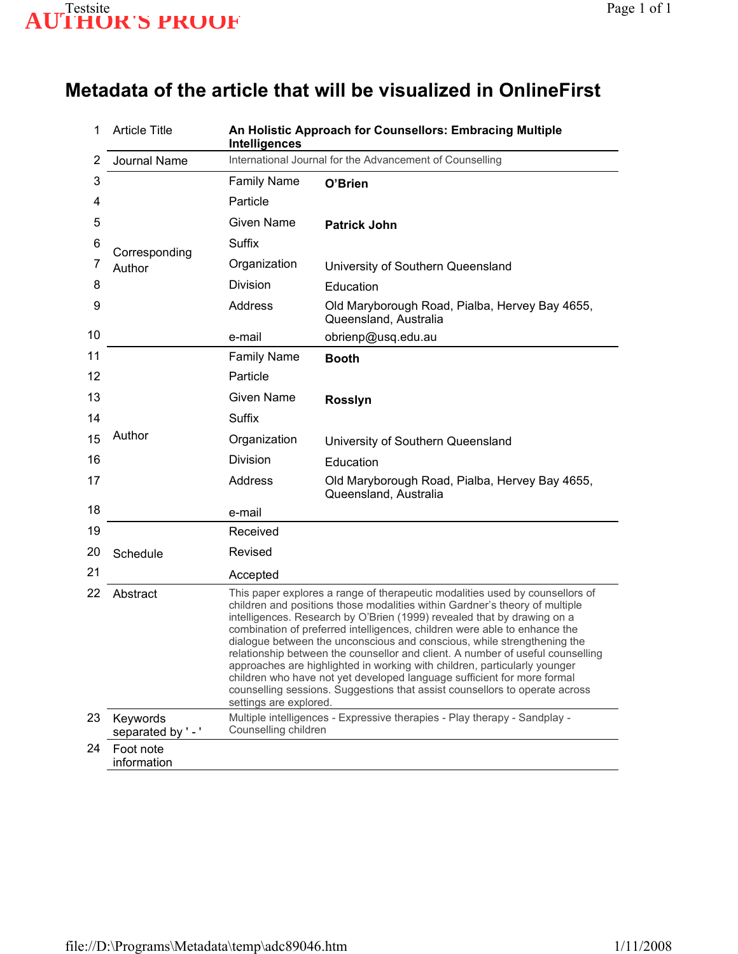

### Metadata of the article that will be visualized in OnlineFirst

| 1  | <b>Article Title</b>         | An Holistic Approach for Counsellors: Embracing Multiple<br>Intelligences                                                                                                                                                                                                                                                                                                                                                                                                                                                                                                                                                                                                                                                                         |                                                                           |  |
|----|------------------------------|---------------------------------------------------------------------------------------------------------------------------------------------------------------------------------------------------------------------------------------------------------------------------------------------------------------------------------------------------------------------------------------------------------------------------------------------------------------------------------------------------------------------------------------------------------------------------------------------------------------------------------------------------------------------------------------------------------------------------------------------------|---------------------------------------------------------------------------|--|
| 2  | Journal Name                 | International Journal for the Advancement of Counselling                                                                                                                                                                                                                                                                                                                                                                                                                                                                                                                                                                                                                                                                                          |                                                                           |  |
| 3  |                              | <b>Family Name</b>                                                                                                                                                                                                                                                                                                                                                                                                                                                                                                                                                                                                                                                                                                                                | O'Brien                                                                   |  |
| 4  |                              | Particle                                                                                                                                                                                                                                                                                                                                                                                                                                                                                                                                                                                                                                                                                                                                          |                                                                           |  |
| 5  |                              | Given Name                                                                                                                                                                                                                                                                                                                                                                                                                                                                                                                                                                                                                                                                                                                                        | <b>Patrick John</b>                                                       |  |
| 6  | Corresponding<br>Author      | Suffix                                                                                                                                                                                                                                                                                                                                                                                                                                                                                                                                                                                                                                                                                                                                            |                                                                           |  |
| 7  |                              | Organization                                                                                                                                                                                                                                                                                                                                                                                                                                                                                                                                                                                                                                                                                                                                      | University of Southern Queensland                                         |  |
| 8  |                              | <b>Division</b>                                                                                                                                                                                                                                                                                                                                                                                                                                                                                                                                                                                                                                                                                                                                   | Education                                                                 |  |
| 9  |                              | Address                                                                                                                                                                                                                                                                                                                                                                                                                                                                                                                                                                                                                                                                                                                                           | Old Maryborough Road, Pialba, Hervey Bay 4655,<br>Queensland, Australia   |  |
| 10 |                              | e-mail                                                                                                                                                                                                                                                                                                                                                                                                                                                                                                                                                                                                                                                                                                                                            | obrienp@usq.edu.au                                                        |  |
| 11 |                              | <b>Family Name</b>                                                                                                                                                                                                                                                                                                                                                                                                                                                                                                                                                                                                                                                                                                                                | <b>Booth</b>                                                              |  |
| 12 |                              | Particle                                                                                                                                                                                                                                                                                                                                                                                                                                                                                                                                                                                                                                                                                                                                          |                                                                           |  |
| 13 |                              | Given Name                                                                                                                                                                                                                                                                                                                                                                                                                                                                                                                                                                                                                                                                                                                                        | <b>Rosslyn</b>                                                            |  |
| 14 |                              | <b>Suffix</b>                                                                                                                                                                                                                                                                                                                                                                                                                                                                                                                                                                                                                                                                                                                                     |                                                                           |  |
| 15 | Author                       | Organization                                                                                                                                                                                                                                                                                                                                                                                                                                                                                                                                                                                                                                                                                                                                      | University of Southern Queensland                                         |  |
| 16 |                              | Division                                                                                                                                                                                                                                                                                                                                                                                                                                                                                                                                                                                                                                                                                                                                          | Education                                                                 |  |
| 17 |                              | Address                                                                                                                                                                                                                                                                                                                                                                                                                                                                                                                                                                                                                                                                                                                                           | Old Maryborough Road, Pialba, Hervey Bay 4655,<br>Queensland, Australia   |  |
| 18 |                              | e-mail                                                                                                                                                                                                                                                                                                                                                                                                                                                                                                                                                                                                                                                                                                                                            |                                                                           |  |
| 19 |                              | Received                                                                                                                                                                                                                                                                                                                                                                                                                                                                                                                                                                                                                                                                                                                                          |                                                                           |  |
| 20 | Schedule                     | Revised                                                                                                                                                                                                                                                                                                                                                                                                                                                                                                                                                                                                                                                                                                                                           |                                                                           |  |
| 21 |                              | Accepted                                                                                                                                                                                                                                                                                                                                                                                                                                                                                                                                                                                                                                                                                                                                          |                                                                           |  |
| 22 | Abstract                     | This paper explores a range of therapeutic modalities used by counsellors of<br>children and positions those modalities within Gardner's theory of multiple<br>intelligences. Research by O'Brien (1999) revealed that by drawing on a<br>combination of preferred intelligences, children were able to enhance the<br>dialogue between the unconscious and conscious, while strengthening the<br>relationship between the counsellor and client. A number of useful counselling<br>approaches are highlighted in working with children, particularly younger<br>children who have not yet developed language sufficient for more formal<br>counselling sessions. Suggestions that assist counsellors to operate across<br>settings are explored. |                                                                           |  |
| 23 | Keywords<br>separated by '-' | Counselling children                                                                                                                                                                                                                                                                                                                                                                                                                                                                                                                                                                                                                                                                                                                              | Multiple intelligences - Expressive therapies - Play therapy - Sandplay - |  |
| 24 | Foot note<br>information     |                                                                                                                                                                                                                                                                                                                                                                                                                                                                                                                                                                                                                                                                                                                                                   |                                                                           |  |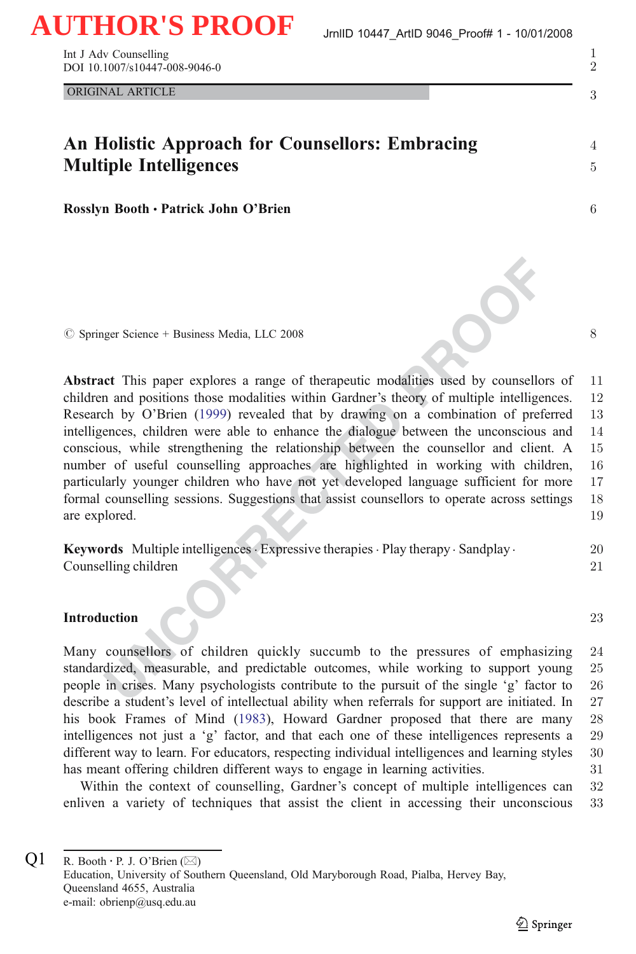ORIGINAL ARTICLE 3

### An Holistic Approach for Counsellors: Embracing <sup>4</sup> Multiple Intelligences 5

Rosslyn Booth *&* Patrick John O*'*Brien 6

 $\oslash$  Springer Science + Business Media, LLC 2008 8

ger Science + Business Media, LLC 2008<br> **ct** This paper explores a range of therapeutic modalities used by counsellon<br>
and positions those modalities within Gardner's theory of multiple intelliger<br>
che by O'Brien (1999) re Abstract This paper explores a range of therapeutic modalities used by counsellors of 11 children and positions those modalities within Gardner's theory of multiple intelligences. 12 Research by O'Brien (1999) revealed that by drawing on a combination of preferred 13 intelligences, children were able to enhance the dialogue between the unconscious and 14 conscious, while strengthening the relationship between the counsellor and client. A 15 number of useful counselling approaches are highlighted in working with children, 16 particularly younger children who have not yet developed language sufficient for more 17 formal counselling sessions. Suggestions that assist counsellors to operate across settings 18 are explored. 19

Keywords Multiple intelligences . Expressive therapies . Play therapy . Sandplay . 20 Counselling children 21

#### Introduction 23

Many counsellors of children quickly succumb to the pressures of emphasizing 24 standardized, measurable, and predictable outcomes, while working to support young 25 people in crises. Many psychologists contribute to the pursuit of the single 'g' factor to 26 describe a student's level of intellectual ability when referrals for support are initiated. In 27 his book Frames of Mind ([1983\)](#page-13-0), Howard Gardner proposed that there are many 28 intelligences not just a 'g' factor, and that each one of these intelligences represents a 29 different way to learn. For educators, respecting individual intelligences and learning styles 30 has meant offering children different ways to engage in learning activities.  $31$ 

Within the context of counselling, Gardner's concept of multiple intelligences can 32 enliven a variety of techniques that assist the client in accessing their unconscious 33

R. Booth *:* P. J. O'Brien (*\**) Education, University of Southern Queensland, Old Maryborough Road, Pialba, Hervey Bay, Queensland 4655, Australia e-mail: obrienp@usq.edu.au Q1

1 2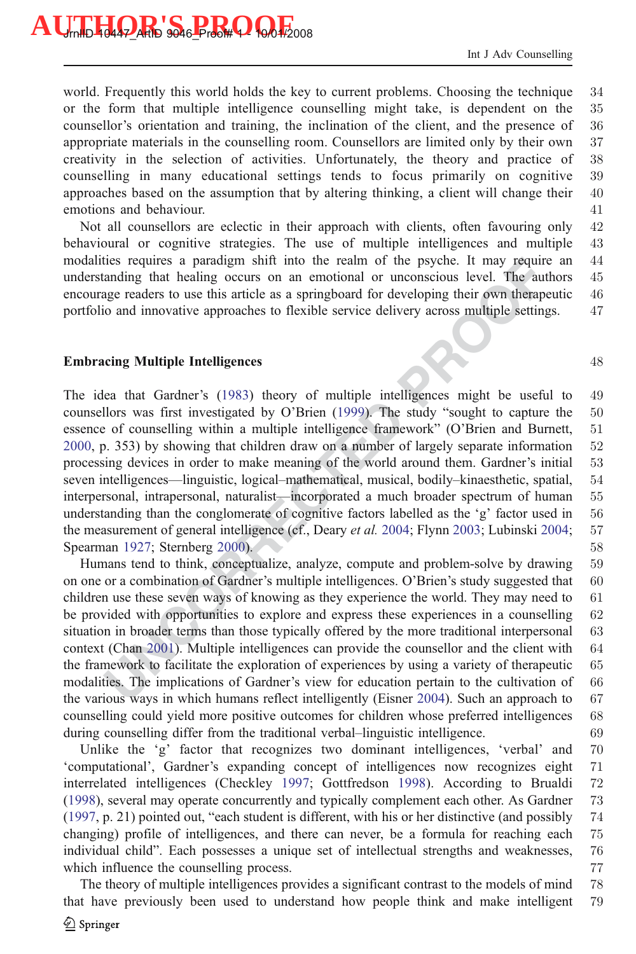Int J Adv Counselling

world. Frequently this world holds the key to current problems. Choosing the technique 34 or the form that multiple intelligence counselling might take, is dependent on the 35 counsellor's orientation and training, the inclination of the client, and the presence of 36 appropriate materials in the counselling room. Counsellors are limited only by their own 37 creativity in the selection of activities. Unfortunately, the theory and practice of 38 counselling in many educational settings tends to focus primarily on cognitive 39 approaches based on the assumption that by altering thinking, a client will change their  $\frac{40}{2}$ emotions and behaviour. 41

Not all counsellors are eclectic in their approach with clients, often favouring only 42 behavioural or cognitive strategies. The use of multiple intelligences and multiple 43 modalities requires a paradigm shift into the realm of the psyche. It may require an 44 understanding that healing occurs on an emotional or unconscious level. The authors 45 encourage readers to use this article as a springboard for developing their own therapeutic 46 portfolio and innovative approaches to flexible service delivery across multiple settings. 47

#### Embracing Multiple Intelligences 48

ities requires a paradigm shift into the realm of the psyche. It may require<br>anding that healing occurs on an emotional or unconscious level. The aut<br>and innovative approaches to flexible service delivery across multiple s The idea that Gardner's [\(1983](#page-13-0)) theory of multiple intelligences might be useful to 49 counsellors was first investigated by O'Brien (1999). The study "sought to capture the 50 essence of counselling within a multiple intelligence framework" (O'Brien and Burnett, 51 [2000](#page-14-0), p. 353) by showing that children draw on a number of largely separate information 52 processing devices in order to make meaning of the world around them. Gardner's initial 53 seven intelligences—linguistic, logical–mathematical, musical, bodily–kinaesthetic, spatial, 54 interpersonal, intrapersonal, naturalist—incorporated a much broader spectrum of human 55 understanding than the conglomerate of cognitive factors labelled as the 'g' factor used in 56 the measurement of general intelligence (cf., Deary *et al.* [2004](#page-14-0); Flynn [2003;](#page-13-0) Lubinski 2004; 57 Spearman 1927; Sternberg 2000). 58

Humans tend to think, conceptualize, analyze, compute and problem-solve by drawing 59 on one or a combination of Gardner's multiple intelligences. O'Brien's study suggested that 60 children use these seven ways of knowing as they experience the world. They may need to 61 be provided with opportunities to explore and express these experiences in a counselling 62 situation in broader terms than those typically offered by the more traditional interpersonal 63 context (Chan 2001). Multiple intelligences can provide the counsellor and the client with 64 the framework to facilitate the exploration of experiences by using a variety of therapeutic 65 modalities. The implications of Gardner's view for education pertain to the cultivation of 66 the various ways in which humans reflect intelligently (Eisner [2004](#page-13-0)). Such an approach to 67 counselling could yield more positive outcomes for children whose preferred intelligences 68 during counselling differ from the traditional verbal–linguistic intelligence. 69

Unlike the 'g' factor that recognizes two dominant intelligences, 'verbal' and 70 'computational', Gardner's expanding concept of intelligences now recognizes eight 71 interrelated intelligences (Checkley [1997](#page-13-0); Gottfredson [1998](#page-13-0)). According to Brualdi 72 [\(1998](#page-13-0)), several may operate concurrently and typically complement each other. As Gardner 73 [\(1997](#page-13-0), p. 21) pointed out, "each student is different, with his or her distinctive (and possibly 74 changing) profile of intelligences, and there can never, be a formula for reaching each 75 individual child". Each possesses a unique set of intellectual strengths and weaknesses, 76 which influence the counselling process.  $77$ 

The theory of multiple intelligences provides a significant contrast to the models of mind 78 that have previously been used to understand how people think and make intelligent 79

 $\textcircled{2}$  Springer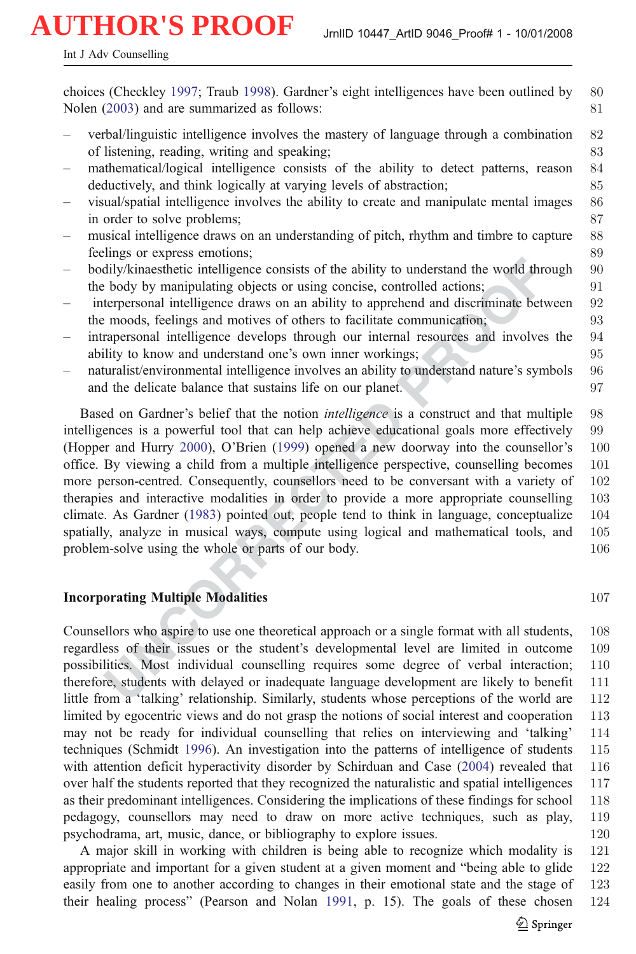Int J Adv Counselling

choices (Checkley [1997;](#page-13-0) Traub [1998](#page-15-0)). Gardner's eight intelligences have been outlined by 80 Nolen [\(2003](#page-14-0)) and are summarized as follows: 81

- verbal/linguistic intelligence involves the mastery of language through a combination 82 of listening, reading, writing and speaking; 83
- mathematical/logical intelligence consists of the ability to detect patterns, reason 84 deductively, and think logically at varying levels of abstraction; 85
- visual/spatial intelligence involves the ability to create and manipulate mental images 86 in order to solve problems; 87
- musical intelligence draws on an understanding of pitch, rhythm and timbre to capture 88 feelings or express emotions; 89
- bodily/kinaesthetic intelligence consists of the ability to understand the world through 90 the body by manipulating objects or using concise, controlled actions; 91
- interpersonal intelligence draws on an ability to apprehend and discriminate between 92 the moods, feelings and motives of others to facilitate communication; 93
- intrapersonal intelligence develops through our internal resources and involves the 94 ability to know and understand one's own inner workings;  $\sim$  95
- naturalist/environmental intelligence involves an ability to understand nature's symbols 96 and the delicate balance that sustains life on our planet. 97

Hilly Kinaesthetic intelligence consists of the ability to understand the world throughly lidiy/kinaesthetic intelligence consists of the ability to understand net body by manipulating objects or using concise, controlled Based on Gardner's belief that the notion *intelligence* is a construct and that multiple 98 intelligences is a powerful tool that can help achieve educational goals more effectively 99 (Hopper and Hurry 2000), O'Brien (1999) opened a new doorway into the counsellor's 100 office. By viewing a child from a multiple intelligence perspective, counselling becomes 101 more person-centred. Consequently, counsellors need to be conversant with a variety of 102 therapies and interactive modalities in order to provide a more appropriate counselling 103 climate. As Gardner (1983) pointed out, people tend to think in language, conceptualize 104 spatially, analyze in musical ways, compute using logical and mathematical tools, and 105 problem-solve using the whole or parts of our body. 106

#### **Incorporating Multiple Modalities** 107

Counsellors who aspire to use one theoretical approach or a single format with all students, 108 regardless of their issues or the student's developmental level are limited in outcome 109 possibilities. Most individual counselling requires some degree of verbal interaction; 110 therefore, students with delayed or inadequate language development are likely to benefit 111 little from a 'talking' relationship. Similarly, students whose perceptions of the world are 112 limited by egocentric views and do not grasp the notions of social interest and cooperation 113 may not be ready for individual counselling that relies on interviewing and 'talking' 114 techniques (Schmidt [1996](#page-14-0)). An investigation into the patterns of intelligence of students 115 with attention deficit hyperactivity disorder by Schirduan and Case ([2004](#page-14-0)) revealed that 116 over half the students reported that they recognized the naturalistic and spatial intelligences 117 as their predominant intelligences. Considering the implications of these findings for school 118 pedagogy, counsellors may need to draw on more active techniques, such as play, 119 psychodrama, art, music, dance, or bibliography to explore issues. 120

A major skill in working with children is being able to recognize which modality is 121 appropriate and important for a given student at a given moment and "being able to glide 122 easily from one to another according to changes in their emotional state and the stage of 123 their healing process" (Pearson and Nolan [1991,](#page-14-0) p. 15). The goals of these chosen 124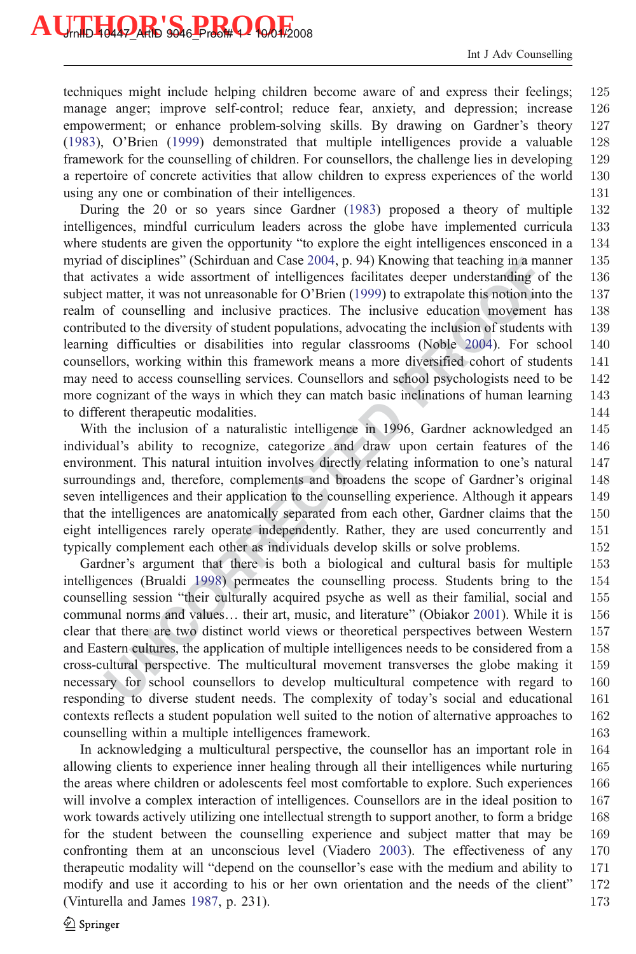techniques might include helping children become aware of and express their feelings; 125 manage anger; improve self-control; reduce fear, anxiety, and depression; increase 126 empowerment; or enhance problem-solving skills. By drawing on Gardner's theory 127 [\(1983](#page-13-0)), O'Brien ([1999](#page-14-0)) demonstrated that multiple intelligences provide a valuable 128 framework for the counselling of children. For counsellors, the challenge lies in developing 129 a repertoire of concrete activities that allow children to express experiences of the world 130 using any one or combination of their intelligences. 131

of disciplines" (Schirduan and Case 2004, p. 94) Knowing that teaching in a mativarets a wide assortment of intelligences facilitates deeper understanding of numerator, it was not unreasonable for O'Brien (1999) to extrapo During the 20 or so years since Gardner ([1983\)](#page-13-0) proposed a theory of multiple 132 intelligences, mindful curriculum leaders across the globe have implemented curricula 133 where students are given the opportunity "to explore the eight intelligences ensconced in a 134 myriad of disciplines" (Schirduan and Case [2004,](#page-14-0) p. 94) Knowing that teaching in a manner 135 that activates a wide assortment of intelligences facilitates deeper understanding of the 136 subject matter, it was not unreasonable for O'Brien [\(1999](#page-14-0)) to extrapolate this notion into the 137 realm of counselling and inclusive practices. The inclusive education movement has 138 contributed to the diversity of student populations, advocating the inclusion of students with 139 learning difficulties or disabilities into regular classrooms (Noble 2004). For school 140 counsellors, working within this framework means a more diversified cohort of students 141 may need to access counselling services. Counsellors and school psychologists need to be 142 more cognizant of the ways in which they can match basic inclinations of human learning 143 to different therapeutic modalities. 144

With the inclusion of a naturalistic intelligence in 1996, Gardner acknowledged an 145 individual's ability to recognize, categorize and draw upon certain features of the 146 environment. This natural intuition involves directly relating information to one's natural 147 surroundings and, therefore, complements and broadens the scope of Gardner's original 148 seven intelligences and their application to the counselling experience. Although it appears 149 that the intelligences are anatomically separated from each other, Gardner claims that the 150 eight intelligences rarely operate independently. Rather, they are used concurrently and 151 typically complement each other as individuals develop skills or solve problems. 152

Gardner's argument that there is both a biological and cultural basis for multiple 153 intelligences (Brualdi 1998) permeates the counselling process. Students bring to the 154 counselling session "their culturally acquired psyche as well as their familial, social and 155 communal norms and values… their art, music, and literature" (Obiakor [2001](#page-14-0)). While it is 156 clear that there are two distinct world views or theoretical perspectives between Western 157 and Eastern cultures, the application of multiple intelligences needs to be considered from a 158 cross-cultural perspective. The multicultural movement transverses the globe making it 159 necessary for school counsellors to develop multicultural competence with regard to 160 responding to diverse student needs. The complexity of today's social and educational 161 contexts reflects a student population well suited to the notion of alternative approaches to 162 counselling within a multiple intelligences framework. 163

In acknowledging a multicultural perspective, the counsellor has an important role in 164 allowing clients to experience inner healing through all their intelligences while nurturing 165 the areas where children or adolescents feel most comfortable to explore. Such experiences 166 will involve a complex interaction of intelligences. Counsellors are in the ideal position to 167 work towards actively utilizing one intellectual strength to support another, to form a bridge 168 for the student between the counselling experience and subject matter that may be 169 confronting them at an unconscious level (Viadero [2003\)](#page-15-0). The effectiveness of any 170 therapeutic modality will "depend on the counsellor's ease with the medium and ability to 171 modify and use it according to his or her own orientation and the needs of the client" 172 (Vinturella and James [1987](#page-15-0), p. 231). 173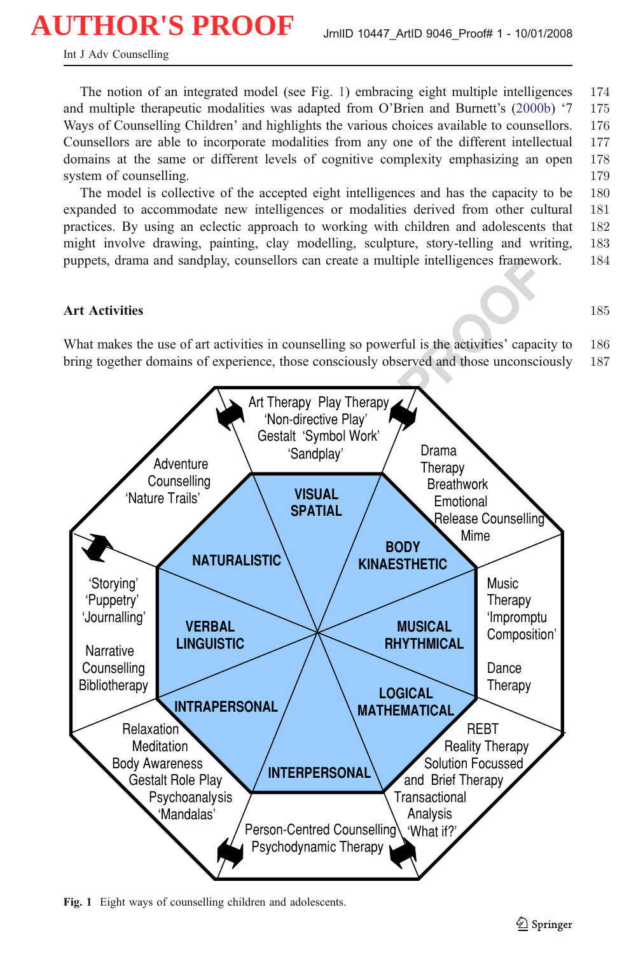Int J Adv Counselling

The notion of an integrated model (see Fig. 1) embracing eight multiple intelligences 174 and multiple therapeutic modalities was adapted from O'Brien and Burnett's ([2000b](#page-14-0)) '7 175 Ways of Counselling Children' and highlights the various choices available to counsellors. 176 Counsellors are able to incorporate modalities from any one of the different intellectual 177 domains at the same or different levels of cognitive complexity emphasizing an open 178 system of counselling. 179

The model is collective of the accepted eight intelligences and has the capacity to be 180 expanded to accommodate new intelligences or modalities derived from other cultural 181 practices. By using an eclectic approach to working with children and adolescents that 182 might involve drawing, painting, clay modelling, sculpture, story-telling and writing, 183 puppets, drama and sandplay, counsellors can create a multiple intelligences framework. 184

#### **Art Activities** 185

What makes the use of art activities in counselling so powerful is the activities' capacity to 186 bring together domains of experience, those consciously observed and those unconsciously 187



Fig. 1 Eight ways of counselling children and adolescents.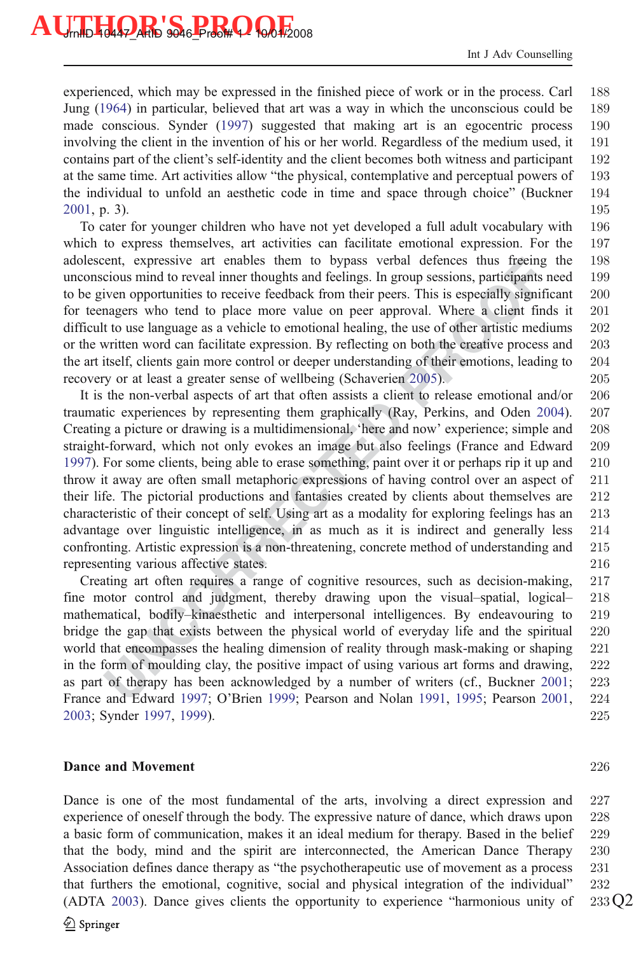experienced, which may be expressed in the finished piece of work or in the process. Carl 188 Jung [\(1964](#page-14-0)) in particular, believed that art was a way in which the unconscious could be 189 made conscious. Synder ([1997\)](#page-15-0) suggested that making art is an egocentric process 190 involving the client in the invention of his or her world. Regardless of the medium used, it 191 contains part of the client's self-identity and the client becomes both witness and participant 192 at the same time. Art activities allow "the physical, contemplative and perceptual powers of 193 the individual to unfold an aesthetic code in time and space through choice" (Buckner 194 [2001](#page-13-0), p. 3). 195

To cater for younger children who have not yet developed a full adult vocabulary with 196 which to express themselves, art activities can facilitate emotional expression. For the 197 adolescent, expressive art enables them to bypass verbal defences thus freeing the 198 unconscious mind to reveal inner thoughts and feelings. In group sessions, participants need 199 to be given opportunities to receive feedback from their peers. This is especially significant 200 for teenagers who tend to place more value on peer approval. Where a client finds it 201 difficult to use language as a vehicle to emotional healing, the use of other artistic mediums 202 or the written word can facilitate expression. By reflecting on both the creative process and 203 the art itself, clients gain more control or deeper understanding of their emotions, leading to 204 recovery or at least a greater sense of wellbeing (Schaverien 2005). 205

ent, expressive art enables them to bypass verbal defences thus freeing<br>cious mind to reveal inner houghts and feelings. In group sessions, participants<br>iven opportunities to receive feedback from their peers. This is espe It is the non-verbal aspects of art that often assists a client to release emotional and/or 206 traumatic experiences by representing them graphically (Ray, Perkins, and Oden [2004](#page-14-0)). 207 Creating a picture or drawing is a multidimensional, 'here and now' experience; simple and 208 straight-forward, which not only evokes an image but also feelings (France and Edward 209 [1997](#page-13-0)). For some clients, being able to erase something, paint over it or perhaps rip it up and 210 throw it away are often small metaphoric expressions of having control over an aspect of 211 their life. The pictorial productions and fantasies created by clients about themselves are 212 characteristic of their concept of self. Using art as a modality for exploring feelings has an 213 advantage over linguistic intelligence, in as much as it is indirect and generally less 214 confronting. Artistic expression is a non-threatening, concrete method of understanding and 215 representing various affective states. 216

Creating art often requires a range of cognitive resources, such as decision-making, 217 fine motor control and judgment, thereby drawing upon the visual–spatial, logical– 218 mathematical, bodily–kinaesthetic and interpersonal intelligences. By endeavouring to 219 bridge the gap that exists between the physical world of everyday life and the spiritual 220 world that encompasses the healing dimension of reality through mask-making or shaping 221 in the form of moulding clay, the positive impact of using various art forms and drawing, 222 as part of therapy has been acknowledged by a number of writers (cf., Buckner [2001](#page-13-0); 223 France and Edward [1997](#page-13-0); O'Brien [1999;](#page-14-0) Pearson and Nolan [1991](#page-14-0), [1995](#page-14-0); Pearson [2001,](#page-14-0) 224 [2003](#page-14-0); Synder [1997](#page-15-0), [1999\)](#page-15-0). 225

#### **Dance and Movement** 226

Dance is one of the most fundamental of the arts, involving a direct expression and 227 experience of oneself through the body. The expressive nature of dance, which draws upon 228 a basic form of communication, makes it an ideal medium for therapy. Based in the belief 229 that the body, mind and the spirit are interconnected, the American Dance Therapy 230 Association defines dance therapy as "the psychotherapeutic use of movement as a process 231 that furthers the emotional, cognitive, social and physical integration of the individual" 232 (ADTA [2003\)](#page-13-0). Dance gives clients the opportunity to experience "harmonious unity of  $233Q2$ 

hinger ⊗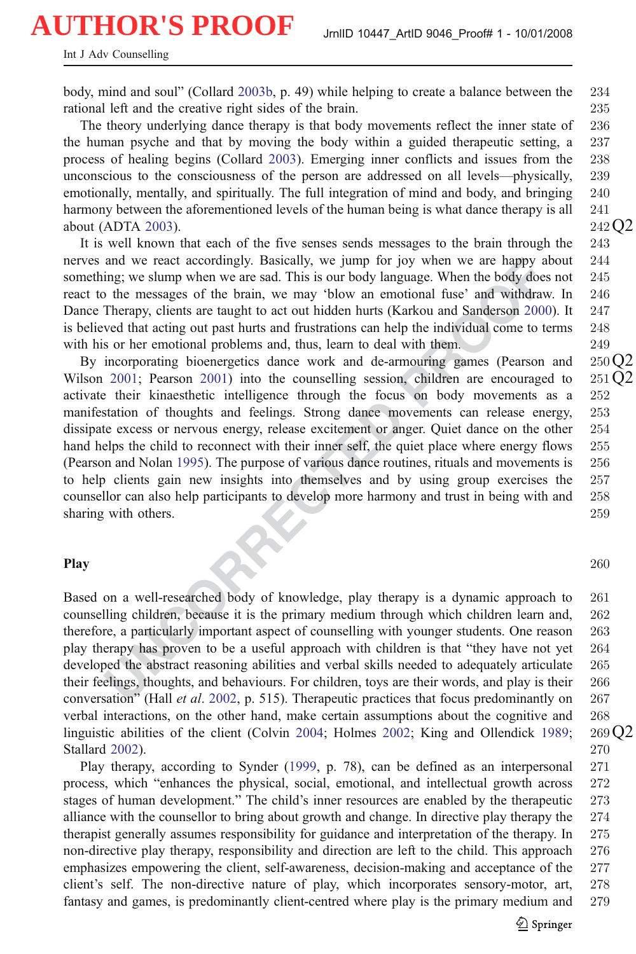Int J Adv Counselling

body, mind and soul" (Collard [2003b](#page-13-0), p. 49) while helping to create a balance between the 234 rational left and the creative right sides of the brain. 235

The theory underlying dance therapy is that body movements reflect the inner state of 236 the human psyche and that by moving the body within a guided therapeutic setting, a 237 process of healing begins (Collard [2003](#page-13-0)). Emerging inner conflicts and issues from the 238 unconscious to the consciousness of the person are addressed on all levels—physically, 239 emotionally, mentally, and spiritually. The full integration of mind and body, and bringing 240 harmony between the aforementioned levels of the human being is what dance therapy is all 241 about (ADTA [2003\)](#page-13-0).  $242Q2$ 

It is well known that each of the five senses sends messages to the brain through the 243 nerves and we react accordingly. Basically, we jump for joy when we are happy about 244 something; we slump when we are sad. This is our body language. When the body does not 245 react to the messages of the brain, we may 'blow an emotional fuse' and withdraw. In 246 Dance Therapy, clients are taught to act out hidden hurts (Karkou and Sanderson [2000\)](#page-14-0). It 247 is believed that acting out past hurts and frustrations can help the individual come to terms 248 with his or her emotional problems and, thus, learn to deal with them. 249

and we react accordingly. Basically, we jump for joy when we are happy a<br>sing, we slump when we are sad. This is our body language. When the body does<br>the messages of the brain, we may "blow an emotional fise" and with<br>dra By incorporating bioenergetics dance work and de-armouring games (Pearson and 250Q2 Wilson [2001;](#page-14-0) Pearson [2001\)](#page-14-0) into the counselling session, children are encouraged to  $251 \text{ Q}2$ activate their kinaesthetic intelligence through the focus on body movements as a 252 manifestation of thoughts and feelings. Strong dance movements can release energy, 253 dissipate excess or nervous energy, release excitement or anger. Quiet dance on the other 254 hand helps the child to reconnect with their inner self, the quiet place where energy flows 255 (Pearson and Nolan 1995). The purpose of various dance routines, rituals and movements is 256 to help clients gain new insights into themselves and by using group exercises the 257 counsellor can also help participants to develop more harmony and trust in being with and 258 sharing with others. 259

#### Play 260

Based on a well-researched body of knowledge, play therapy is a dynamic approach to 261 counselling children, because it is the primary medium through which children learn and, 262 therefore, a particularly important aspect of counselling with younger students. One reason 263 play therapy has proven to be a useful approach with children is that "they have not yet 264 developed the abstract reasoning abilities and verbal skills needed to adequately articulate 265 their feelings, thoughts, and behaviours. For children, toys are their words, and play is their 266 conversation" (Hall *et al.* [2002,](#page-13-0) p. 515). Therapeutic practices that focus predominantly on 267 verbal interactions, on the other hand, make certain assumptions about the cognitive and 268 linguistic abilities of the client (Colvin [2004;](#page-13-0) Holmes [2002;](#page-13-0) King and Ollendick [1989](#page-14-0); 269 $Q2$ Stallard [2002](#page-15-0)). 270

Play therapy, according to Synder [\(1999](#page-15-0), p. 78), can be defined as an interpersonal 271 process, which "enhances the physical, social, emotional, and intellectual growth across 272 stages of human development." The child's inner resources are enabled by the therapeutic 273 alliance with the counsellor to bring about growth and change. In directive play therapy the 274 therapist generally assumes responsibility for guidance and interpretation of the therapy. In 275 non-directive play therapy, responsibility and direction are left to the child. This approach 276 emphasizes empowering the client, self-awareness, decision-making and acceptance of the 277 client's self. The non-directive nature of play, which incorporates sensory-motor, art, 278 fantasy and games, is predominantly client-centred where play is the primary medium and 279

 $\textcircled{2}$  Springer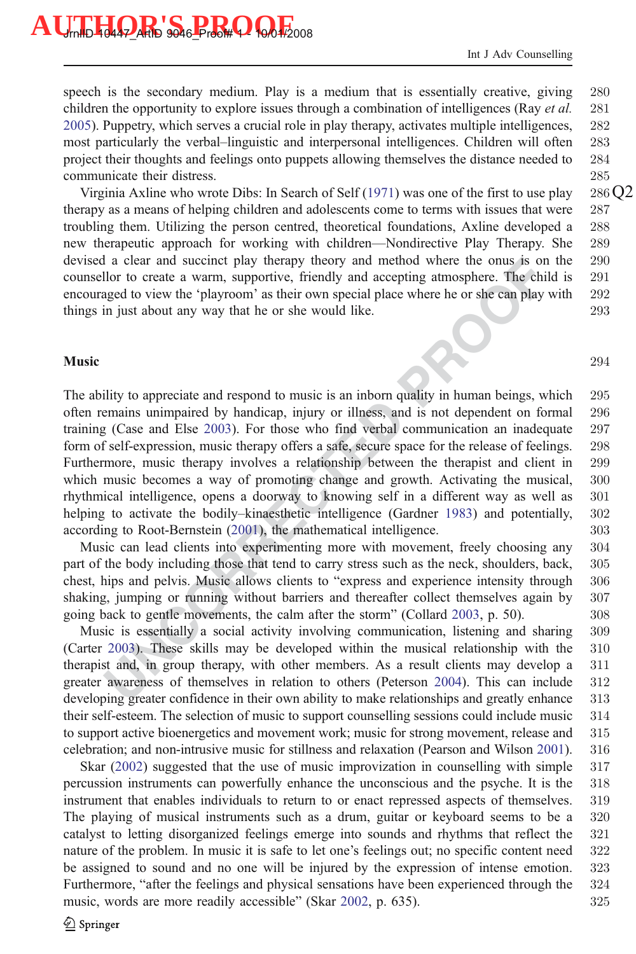speech is the secondary medium. Play is a medium that is essentially creative, giving 280 children the opportunity to explore issues through a combination of intelligences (Ray *et al.* 281 [2005](#page-14-0)). Puppetry, which serves a crucial role in play therapy, activates multiple intelligences, 282 most particularly the verbal–linguistic and interpersonal intelligences. Children will often 283 project their thoughts and feelings onto puppets allowing themselves the distance needed to 284 communicate their distress. 285

Virginia Axline who wrote Dibs: In Search of Self [\(1971](#page-13-0)) was one of the first to use play 286 $Q2$ therapy as a means of helping children and adolescents come to terms with issues that were 287 troubling them. Utilizing the person centred, theoretical foundations, Axline developed a 288 new therapeutic approach for working with children—Nondirective Play Therapy. She 289 devised a clear and succinct play therapy theory and method where the onus is on the 290 counsellor to create a warm, supportive, friendly and accepting atmosphere. The child is 291 encouraged to view the 'playroom' as their own special place where he or she can play with 292 things in just about any way that he or she would like. 293

#### Music 294

1 a clear and succinct play therapy theory and method where the onus is on<br>lor to create a warm, supportive, friendly and accepting atmosphere. The chi<br>logad to view the 'playroom' as their own special place where he or sh The ability to appreciate and respond to music is an inborn quality in human beings, which 295 often remains unimpaired by handicap, injury or illness, and is not dependent on formal 296 training (Case and Else 2003). For those who find verbal communication an inadequate 297 form of self-expression, music therapy offers a safe, secure space for the release of feelings. 298 Furthermore, music therapy involves a relationship between the therapist and client in 299 which music becomes a way of promoting change and growth. Activating the musical, 300 rhythmical intelligence, opens a doorway to knowing self in a different way as well as 301 helping to activate the bodily–kinaesthetic intelligence (Gardner [1983](#page-13-0)) and potentially, 302 according to Root-Bernstein (2001), the mathematical intelligence.  $303$ 

Music can lead clients into experimenting more with movement, freely choosing any 304 part of the body including those that tend to carry stress such as the neck, shoulders, back, 305 chest, hips and pelvis. Music allows clients to "express and experience intensity through 306 shaking, jumping or running without barriers and thereafter collect themselves again by 307 going back to gentle movements, the calm after the storm" (Collard [2003,](#page-13-0) p. 50). 308

Music is essentially a social activity involving communication, listening and sharing 309 (Carter 2003). These skills may be developed within the musical relationship with the 310 therapist and, in group therapy, with other members. As a result clients may develop a 311 greater awareness of themselves in relation to others (Peterson [2004\)](#page-14-0). This can include 312 developing greater confidence in their own ability to make relationships and greatly enhance 313 their self-esteem. The selection of music to support counselling sessions could include music 314 to support active bioenergetics and movement work; music for strong movement, release and 315 celebration; and non-intrusive music for stillness and relaxation (Pearson and Wilson [2001\)](#page-14-0). 316

Skar [\(2002](#page-15-0)) suggested that the use of music improvization in counselling with simple 317 percussion instruments can powerfully enhance the unconscious and the psyche. It is the 318 instrument that enables individuals to return to or enact repressed aspects of themselves. 319 The playing of musical instruments such as a drum, guitar or keyboard seems to be a 320 catalyst to letting disorganized feelings emerge into sounds and rhythms that reflect the 321 nature of the problem. In music it is safe to let one's feelings out; no specific content need 322 be assigned to sound and no one will be injured by the expression of intense emotion. 323 Furthermore, "after the feelings and physical sensations have been experienced through the 324 music, words are more readily accessible" (Skar [2002](#page-15-0), p. 635).  $325$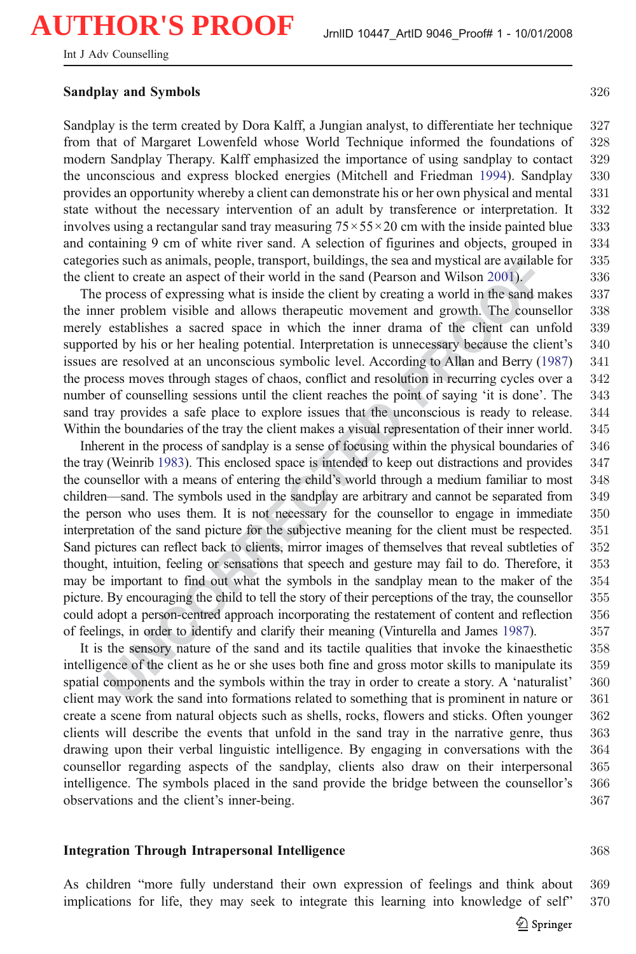Int J Adv Counselling

#### Sandplay and Symbols 326

Sandplay is the term created by Dora Kalff, a Jungian analyst, to differentiate her technique 327 from that of Margaret Lowenfeld whose World Technique informed the foundations of 328 modern Sandplay Therapy. Kalff emphasized the importance of using sandplay to contact 329 the unconscious and express blocked energies (Mitchell and Friedman [1994](#page-14-0)). Sandplay 330 provides an opportunity whereby a client can demonstrate his or her own physical and mental 331 state without the necessary intervention of an adult by transference or interpretation. It 332 involves using a rectangular sand tray measuring  $75 \times 55 \times 20$  cm with the inside painted blue 333 and containing 9 cm of white river sand. A selection of figurines and objects, grouped in 334 categories such as animals, people, transport, buildings, the sea and mystical are available for 335 the client to create an aspect of their world in the sand (Pearson and Wilson 2001). 336

The process of expressing what is inside the client by creating a world in the sand makes 337 the inner problem visible and allows therapeutic movement and growth. The counsellor 338 merely establishes a sacred space in which the inner drama of the client can unfold 339 supported by his or her healing potential. Interpretation is unnecessary because the client's 340 issues are resolved at an unconscious symbolic level. According to Allan and Berry [\(1987\)](#page-13-0) 341 the process moves through stages of chaos, conflict and resolution in recurring cycles over a 342 number of counselling sessions until the client reaches the point of saying 'it is done'. The 343 sand tray provides a safe place to explore issues that the unconscious is ready to release. 344 Within the boundaries of the tray the client makes a visual representation of their inner world. 345

ies such as animals, people, transport, buildings, the sea and mystical are available<br>nto to create an aspect of their world in the sand (Pearson and Wilson 2001).<br>In to create an aspect of their world in the sand model in Inherent in the process of sandplay is a sense of focusing within the physical boundaries of 346 the tray (Weinrib 1983). This enclosed space is intended to keep out distractions and provides 347 the counsellor with a means of entering the child's world through a medium familiar to most 348 children—sand. The symbols used in the sandplay are arbitrary and cannot be separated from 349 the person who uses them. It is not necessary for the counsellor to engage in immediate 350 interpretation of the sand picture for the subjective meaning for the client must be respected. 351 Sand pictures can reflect back to clients, mirror images of themselves that reveal subtleties of 352 thought, intuition, feeling or sensations that speech and gesture may fail to do. Therefore, it 353 may be important to find out what the symbols in the sandplay mean to the maker of the 354 picture. By encouraging the child to tell the story of their perceptions of the tray, the counsellor 355 could adopt a person-centred approach incorporating the restatement of content and reflection 356 of feelings, in order to identify and clarify their meaning (Vinturella and James [1987](#page-15-0)). 357

It is the sensory nature of the sand and its tactile qualities that invoke the kinaesthetic 358 intelligence of the client as he or she uses both fine and gross motor skills to manipulate its 359 spatial components and the symbols within the tray in order to create a story. A 'naturalist' 360 client may work the sand into formations related to something that is prominent in nature or 361 create a scene from natural objects such as shells, rocks, flowers and sticks. Often younger 362 clients will describe the events that unfold in the sand tray in the narrative genre, thus 363 drawing upon their verbal linguistic intelligence. By engaging in conversations with the 364 counsellor regarding aspects of the sandplay, clients also draw on their interpersonal 365 intelligence. The symbols placed in the sand provide the bridge between the counsellor's 366 observations and the client's inner-being. 367

#### Integration Through Intrapersonal Intelligence 368

As children "more fully understand their own expression of feelings and think about 369 implications for life, they may seek to integrate this learning into knowledge of self" 370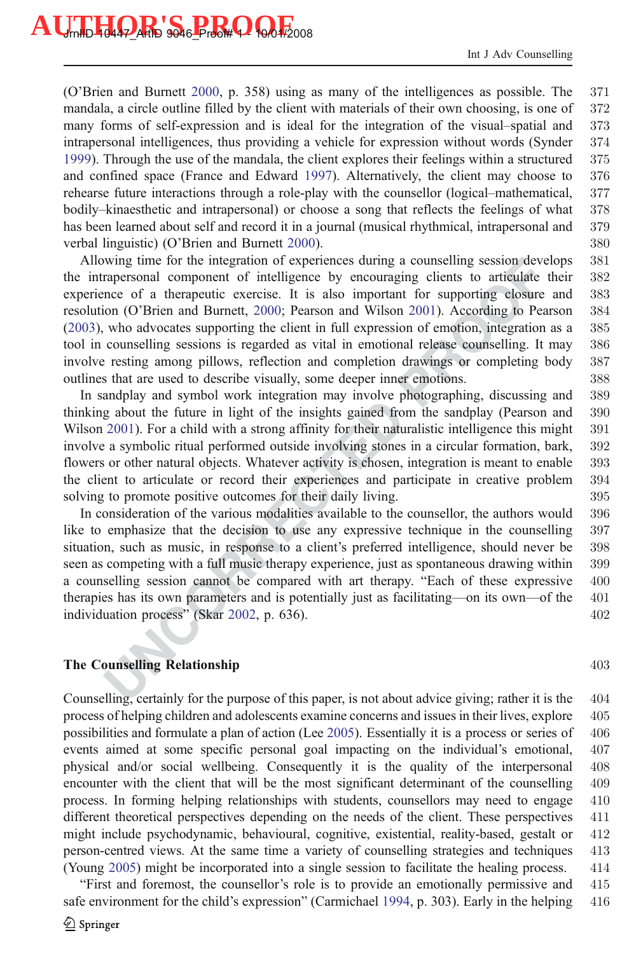(O'Brien and Burnett [2000,](#page-14-0) p. 358) using as many of the intelligences as possible. The 371 mandala, a circle outline filled by the client with materials of their own choosing, is one of 372 many forms of self-expression and is ideal for the integration of the visual–spatial and 373 intrapersonal intelligences, thus providing a vehicle for expression without words (Synder 374 [1999](#page-15-0)). Through the use of the mandala, the client explores their feelings within a structured 375 and confined space (France and Edward [1997\)](#page-13-0). Alternatively, the client may choose to 376 rehearse future interactions through a role-play with the counsellor (logical–mathematical, 377 bodily–kinaesthetic and intrapersonal) or choose a song that reflects the feelings of what 378 has been learned about self and record it in a journal (musical rhythmical, intrapersonal and 379 verbal linguistic) (O'Brien and Burnett [2000](#page-14-0)). 380

wing time for the integration of experiences during a counselling session deventrappears and component of intelligence by encouraging cleans to ariculate ance of a therapeutic exercise. It is also important for supporting Allowing time for the integration of experiences during a counselling session develops 381 the intrapersonal component of intelligence by encouraging clients to articulate their 382 experience of a therapeutic exercise. It is also important for supporting closure and 383 resolution (O'Brien and Burnett, [2000](#page-14-0); Pearson and Wilson 2001). According to Pearson 384 [\(2003](#page-14-0)), who advocates supporting the client in full expression of emotion, integration as a 385 tool in counselling sessions is regarded as vital in emotional release counselling. It may 386 involve resting among pillows, reflection and completion drawings or completing body 387 outlines that are used to describe visually, some deeper inner emotions. 388

In sandplay and symbol work integration may involve photographing, discussing and 389 thinking about the future in light of the insights gained from the sandplay (Pearson and 390 Wilson 2001). For a child with a strong affinity for their naturalistic intelligence this might 391 involve a symbolic ritual performed outside involving stones in a circular formation, bark, 392 flowers or other natural objects. Whatever activity is chosen, integration is meant to enable 393 the client to articulate or record their experiences and participate in creative problem 394 solving to promote positive outcomes for their daily living. 395

In consideration of the various modalities available to the counsellor, the authors would 396 like to emphasize that the decision to use any expressive technique in the counselling 397 situation, such as music, in response to a client's preferred intelligence, should never be 398 seen as competing with a full music therapy experience, just as spontaneous drawing within 399 a counselling session cannot be compared with art therapy. "Each of these expressive 400 therapies has its own parameters and is potentially just as facilitating—on its own—of the 401 individuation process" (Skar 2002, p. 636). 402

#### **The Counselling Relationship 403** 403

Counselling, certainly for the purpose of this paper, is not about advice giving; rather it is the 404 process of helping children and adolescents examine concerns and issues in their lives, explore 405 possibilities and formulate a plan of action (Lee [2005\)](#page-14-0). Essentially it is a process or series of 406 events aimed at some specific personal goal impacting on the individual's emotional, 407 physical and/or social wellbeing. Consequently it is the quality of the interpersonal 408 encounter with the client that will be the most significant determinant of the counselling 409 process. In forming helping relationships with students, counsellors may need to engage 410 different theoretical perspectives depending on the needs of the client. These perspectives 411 might include psychodynamic, behavioural, cognitive, existential, reality-based, gestalt or 412 person-centred views. At the same time a variety of counselling strategies and techniques 413 (Young [2005\)](#page-15-0) might be incorporated into a single session to facilitate the healing process. 414

"First and foremost, the counsellor's role is to provide an emotionally permissive and 415 safe environment for the child's expression" (Carmichael [1994,](#page-13-0) p. 303). Early in the helping 416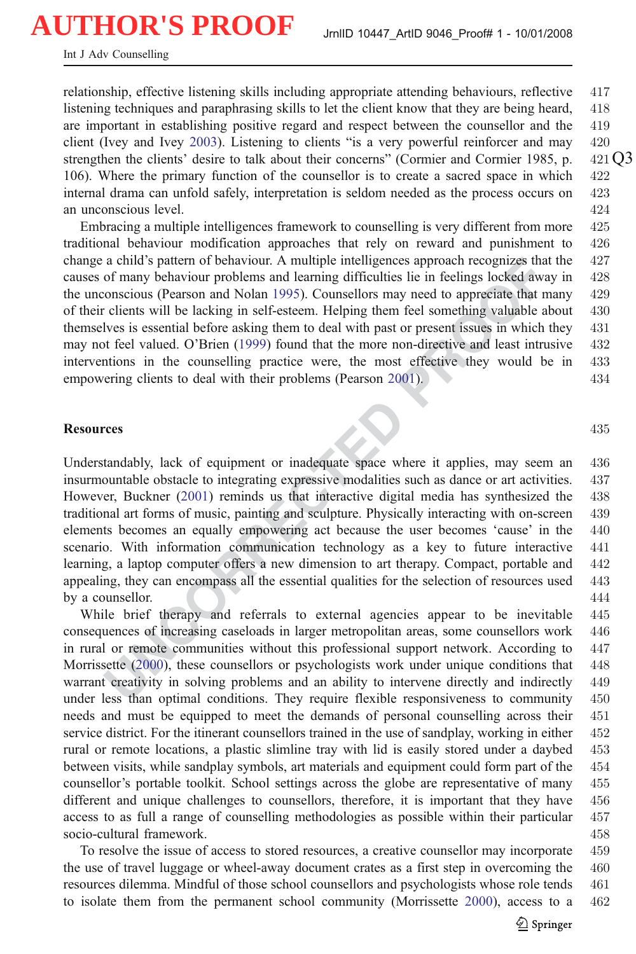Int J Adv Counselling

relationship, effective listening skills including appropriate attending behaviours, reflective 417 listening techniques and paraphrasing skills to let the client know that they are being heard, 418 are important in establishing positive regard and respect between the counsellor and the 419 client (Ivey and Ivey [2003\)](#page-14-0). Listening to clients "is a very powerful reinforcer and may 420 strengthen the clients' desire to talk about their concerns" (Cormier and Cormier 1985, p.  $421\overline{\text{Q}}3$ 106). Where the primary function of the counsellor is to create a sacred space in which 422 internal drama can unfold safely, interpretation is seldom needed as the process occurs on 423 an unconscious level. 424

Embracing a multiple intelligences framework to counselling is very different from more 425 traditional behaviour modification approaches that rely on reward and punishment to 426 change a child's pattern of behaviour. A multiple intelligences approach recognizes that the 427 causes of many behaviour problems and learning difficulties lie in feelings locked away in 428 the unconscious (Pearson and Nolan [1995\)](#page-14-0). Counsellors may need to appreciate that many 429 of their clients will be lacking in self-esteem. Helping them feel something valuable about 430 themselves is essential before asking them to deal with past or present issues in which they 431 may not feel valued. O'Brien ([1999\)](#page-14-0) found that the more non-directive and least intrusive 432 interventions in the counselling practice were, the most effective they would be in 433 empowering clients to deal with their problems (Pearson [2001](#page-14-0)). 434

#### **Resources** 435

a child's pattern of behaviour. A multiple intelligences approach recognizes than of many behaviour problems and learning difficulties lie in feelings locked awe<br>onscious (Pearson and Nolan 1995). Counsellors may need to a Understandably, lack of equipment or inadequate space where it applies, may seem an 436 insurmountable obstacle to integrating expressive modalities such as dance or art activities. 437 However, Buckner (2001) reminds us that interactive digital media has synthesized the 438 traditional art forms of music, painting and sculpture. Physically interacting with on-screen 439 elements becomes an equally empowering act because the user becomes 'cause' in the 440 scenario. With information communication technology as a key to future interactive 441 learning, a laptop computer offers a new dimension to art therapy. Compact, portable and 442 appealing, they can encompass all the essential qualities for the selection of resources used 443 by a counsellor.  $\frac{444}{2}$ 

While brief therapy and referrals to external agencies appear to be inevitable 445 consequences of increasing caseloads in larger metropolitan areas, some counsellors work 446 in rural or remote communities without this professional support network. According to 447 Morrissette (2000), these counsellors or psychologists work under unique conditions that 448 warrant creativity in solving problems and an ability to intervene directly and indirectly 449 under less than optimal conditions. They require flexible responsiveness to community 450 needs and must be equipped to meet the demands of personal counselling across their 451 service district. For the itinerant counsellors trained in the use of sandplay, working in either 452 rural or remote locations, a plastic slimline tray with lid is easily stored under a daybed 453 between visits, while sandplay symbols, art materials and equipment could form part of the 454 counsellor's portable toolkit. School settings across the globe are representative of many 455 different and unique challenges to counsellors, therefore, it is important that they have 456 access to as full a range of counselling methodologies as possible within their particular 457 socio-cultural framework. 458

To resolve the issue of access to stored resources, a creative counsellor may incorporate 459 the use of travel luggage or wheel-away document crates as a first step in overcoming the 460 resources dilemma. Mindful of those school counsellors and psychologists whose role tends 461 to isolate them from the permanent school community (Morrissette [2000\)](#page-14-0), access to a 462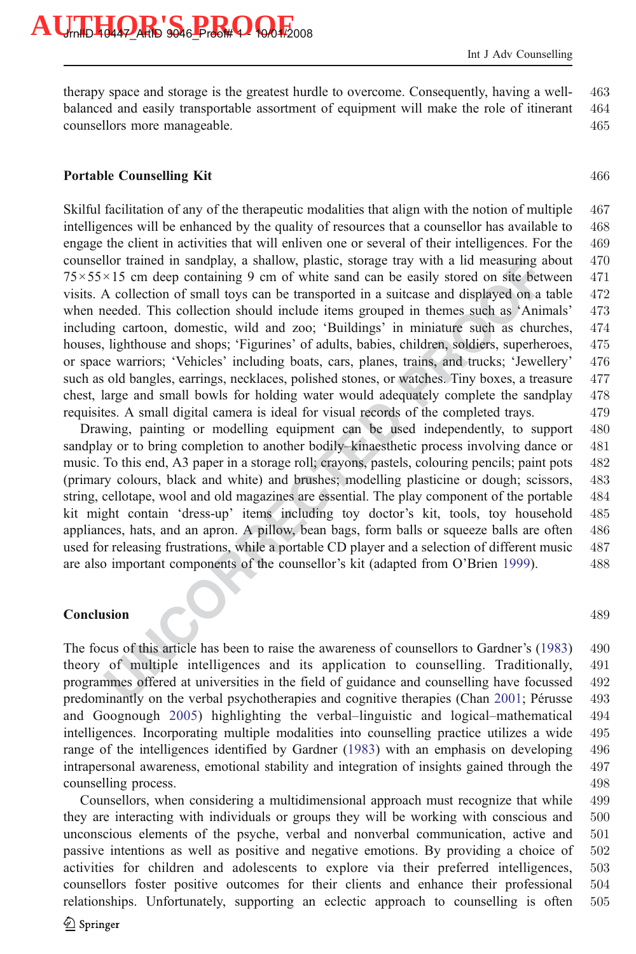therapy space and storage is the greatest hurdle to overcome. Consequently, having a well- 463 balanced and easily transportable assortment of equipment will make the role of itinerant 464 counsellors more manageable. 465

#### Portable Counselling Kit 466

Ilor trained in sandplay, a shallow, plastic, storage tray with a lid measuring a<br>Not trained in sandplay, a shallow, plastic, storage tray with a lid measuring a<br>N A collection of small toys can be transported in a suitca Skilful facilitation of any of the therapeutic modalities that align with the notion of multiple 467 intelligences will be enhanced by the quality of resources that a counsellor has available to 468 engage the client in activities that will enliven one or several of their intelligences. For the 469 counsellor trained in sandplay, a shallow, plastic, storage tray with a lid measuring about 470  $75\times55\times15$  cm deep containing 9 cm of white sand can be easily stored on site between 471 visits. A collection of small toys can be transported in a suitcase and displayed on a table 472 when needed. This collection should include items grouped in themes such as 'Animals' 473 including cartoon, domestic, wild and zoo; 'Buildings' in miniature such as churches, 474 houses, lighthouse and shops; 'Figurines' of adults, babies, children, soldiers, superheroes, 475 or space warriors; 'Vehicles' including boats, cars, planes, trains, and trucks; 'Jewellery' 476 such as old bangles, earrings, necklaces, polished stones, or watches. Tiny boxes, a treasure 477 chest, large and small bowls for holding water would adequately complete the sandplay 478 requisites. A small digital camera is ideal for visual records of the completed trays. 479

Drawing, painting or modelling equipment can be used independently, to support 480 sandplay or to bring completion to another bodily–kinaesthetic process involving dance or 481 music. To this end, A3 paper in a storage roll; crayons, pastels, colouring pencils; paint pots 482 (primary colours, black and white) and brushes; modelling plasticine or dough; scissors, 483 string, cellotape, wool and old magazines are essential. The play component of the portable 484 kit might contain 'dress-up' items including toy doctor's kit, tools, toy household 485 appliances, hats, and an apron. A pillow, bean bags, form balls or squeeze balls are often 486 used for releasing frustrations, while a portable CD player and a selection of different music 487 are also important components of the counsellor's kit (adapted from O'Brien [1999](#page-14-0)). 488

#### **Conclusion** 489

The focus of this article has been to raise the awareness of counsellors to Gardner's ([1983\)](#page-13-0) 490 theory of multiple intelligences and its application to counselling. Traditionally, 491 programmes offered at universities in the field of guidance and counselling have focussed 492 predominantly on the verbal psychotherapies and cognitive therapies (Chan [2001;](#page-13-0) Pérusse 493 and Goognough [2005](#page-14-0)) highlighting the verbal–linguistic and logical–mathematical 494 intelligences. Incorporating multiple modalities into counselling practice utilizes a wide 495 range of the intelligences identified by Gardner [\(1983](#page-13-0)) with an emphasis on developing 496 intrapersonal awareness, emotional stability and integration of insights gained through the 497 counselling process. 498

Counsellors, when considering a multidimensional approach must recognize that while 499 they are interacting with individuals or groups they will be working with conscious and 500 unconscious elements of the psyche, verbal and nonverbal communication, active and 501 passive intentions as well as positive and negative emotions. By providing a choice of 502 activities for children and adolescents to explore via their preferred intelligences, 503 counsellors foster positive outcomes for their clients and enhance their professional 504 relationships. Unfortunately, supporting an eclectic approach to counselling is often 505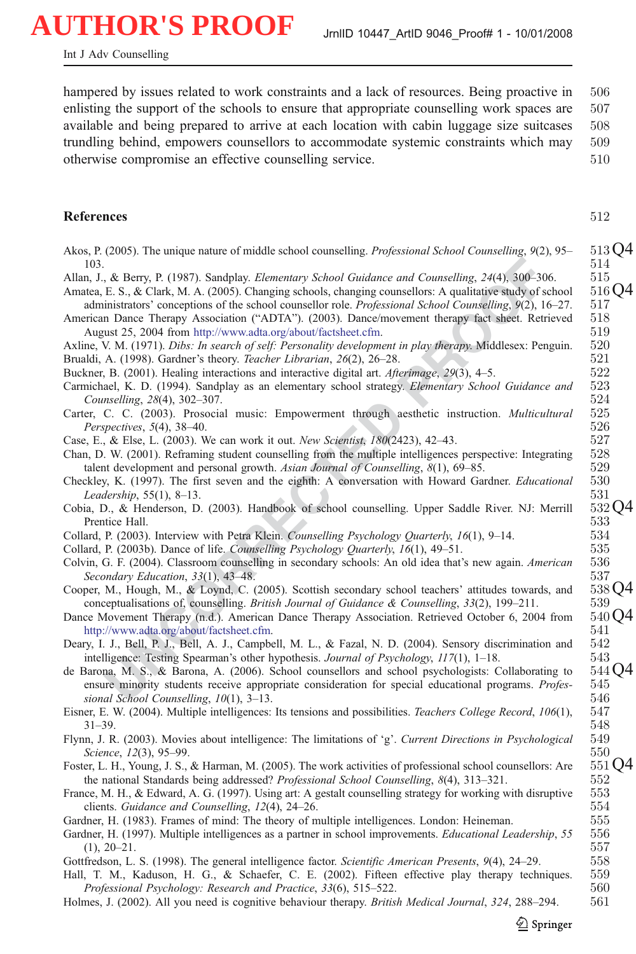<span id="page-13-0"></span>Int J Adv Counselling

hampered by issues related to work constraints and a lack of resources. Being proactive in 506 enlisting the support of the schools to ensure that appropriate counselling work spaces are 507 available and being prepared to arrive at each location with cabin luggage size suitcases 508 trundling behind, empowers counsellors to accommodate systemic constraints which may 509 otherwise compromise an effective counselling service. 510

| <b>References</b> | ະ10<br>914 |
|-------------------|------------|
|-------------------|------------|

| Akos, P. (2005). The unique nature of middle school counselling. <i>Professional School Counselling</i> , 9(2), 95–<br>103. | 513Q4<br>514 |
|-----------------------------------------------------------------------------------------------------------------------------|--------------|
| Allan, J., & Berry, P. (1987). Sandplay. Elementary School Guidance and Counselling, 24(4), 300–306.                        | 515          |
| Amatea, E. S., & Clark, M. A. (2005). Changing schools, changing counsellors: A qualitative study of school                 | 516 Q4       |
| administrators' conceptions of the school counsellor role. Professional School Counselling, 9(2), 16–27.                    | 517          |
| American Dance Therapy Association ("ADTA"). (2003). Dance/movement therapy fact sheet. Retrieved                           | 518          |
| August 25, 2004 from http://www.adta.org/about/factsheet.cfm.                                                               | 519          |
| Axline, V. M. (1971). Dibs: In search of self: Personality development in play therapy. Middlesex: Penguin.                 | 520          |
| Brualdi, A. (1998). Gardner's theory. Teacher Librarian, 26(2), 26-28.                                                      | 521          |
| Buckner, B. (2001). Healing interactions and interactive digital art. Afterimage, 29(3), 4–5.                               | 522          |
| Carmichael, K. D. (1994). Sandplay as an elementary school strategy. Elementary School Guidance and                         | 523          |
| Counselling, 28(4), 302–307.                                                                                                | 524          |
| Carter, C. C. (2003). Prosocial music: Empowerment through aesthetic instruction. Multicultural                             | 525          |
| Perspectives, $5(4)$ , $38-40$ .                                                                                            | 526          |
| Case, E., & Else, L. (2003). We can work it out. New Scientist, 180(2423), 42–43.                                           | 527          |
| Chan, D. W. (2001). Reframing student counselling from the multiple intelligences perspective: Integrating                  | 528          |
| talent development and personal growth. Asian Journal of Counselling, $8(1)$ , 69–85.                                       | 529          |
| Checkley, K. (1997). The first seven and the eighth: A conversation with Howard Gardner. <i>Educational</i>                 | 530          |
| <i>Leadership</i> , $55(1)$ , $8-13$ .                                                                                      | 531          |
| Cobia, D., & Henderson, D. (2003). Handbook of school counselling. Upper Saddle River. NJ: Merrill                          | 532 Q4       |
| Prentice Hall.                                                                                                              | 533          |
| Collard, P. (2003). Interview with Petra Klein. Counselling Psychology Quarterly, 16(1), 9-14.                              | 534          |
| Collard, P. (2003b). Dance of life. Counselling Psychology Quarterly, 16(1), 49–51.                                         | 535          |
| Colvin, G. F. (2004). Classroom counselling in secondary schools: An old idea that's new again. American                    | 536          |
| Secondary Education, 33(1), 43-48.                                                                                          | 537          |
| Cooper, M., Hough, M., & Loynd, C. (2005). Scottish secondary school teachers' attitudes towards, and                       | 538 Q4       |
| conceptualisations of, counselling. British Journal of Guidance & Counselling, 33(2), 199-211.                              | 539          |
| Dance Movement Therapy (n.d.). American Dance Therapy Association. Retrieved October 6, 2004 from                           | 540 Q4       |
| http://www.adta.org/about/factsheet.cfm.                                                                                    | 541          |
| Deary, I. J., Bell, P. J., Bell, A. J., Campbell, M. L., & Fazal, N. D. (2004). Sensory discrimination and                  | 542          |
| intelligence: Testing Spearman's other hypothesis. Journal of Psychology, $117(1)$ , $1-18$ .                               | 543          |
| de Barona, M. S., & Barona, A. (2006). School counsellors and school psychologists: Collaborating to                        | 544 Q4       |
| ensure minority students receive appropriate consideration for special educational programs. Profes-                        | 545          |
| sional School Counselling, 10(1), 3-13.                                                                                     | 546          |
| Eisner, E. W. (2004). Multiple intelligences: Its tensions and possibilities. Teachers College Record, 106(1),              | 547          |
| $31 - 39$ .                                                                                                                 | 548          |
| Flynn, J. R. (2003). Movies about intelligence: The limitations of 'g'. Current Directions in Psychological                 | 549          |
| Science, 12(3), 95-99.                                                                                                      | 550          |
| Foster, L. H., Young, J. S., & Harman, M. (2005). The work activities of professional school counsellors: Are               | 551 Q4       |
| the national Standards being addressed? Professional School Counselling, 8(4), 313–321.                                     | 552          |
| France, M. H., & Edward, A. G. (1997). Using art: A gestalt counselling strategy for working with disruptive                | 553          |
| clients. Guidance and Counselling, 12(4), 24-26.                                                                            | 554          |
| Gardner, H. (1983). Frames of mind: The theory of multiple intelligences. London: Heineman.                                 | 555          |
| Gardner, H. (1997). Multiple intelligences as a partner in school improvements. <i>Educational Leadership</i> , 55          | 556          |
| $(1), 20-21.$                                                                                                               | 557          |
| Gottfredson, L. S. (1998). The general intelligence factor. Scientific American Presents, 9(4), 24–29.                      | 558          |
| Hall, T. M., Kaduson, H. G., & Schaefer, C. E. (2002). Fifteen effective play therapy techniques.                           | 559          |

Professional Psychology: Research and Practice, 33(6), 515–522. 560<br>mes. J. (2002). All you need is cognitive behaviour therapy. *British Medical Journal.* 324, 288–294. 561 Holmes, J. (2002). All you need is cognitive behaviour therapy. British Medical Journal, 324, 288-294.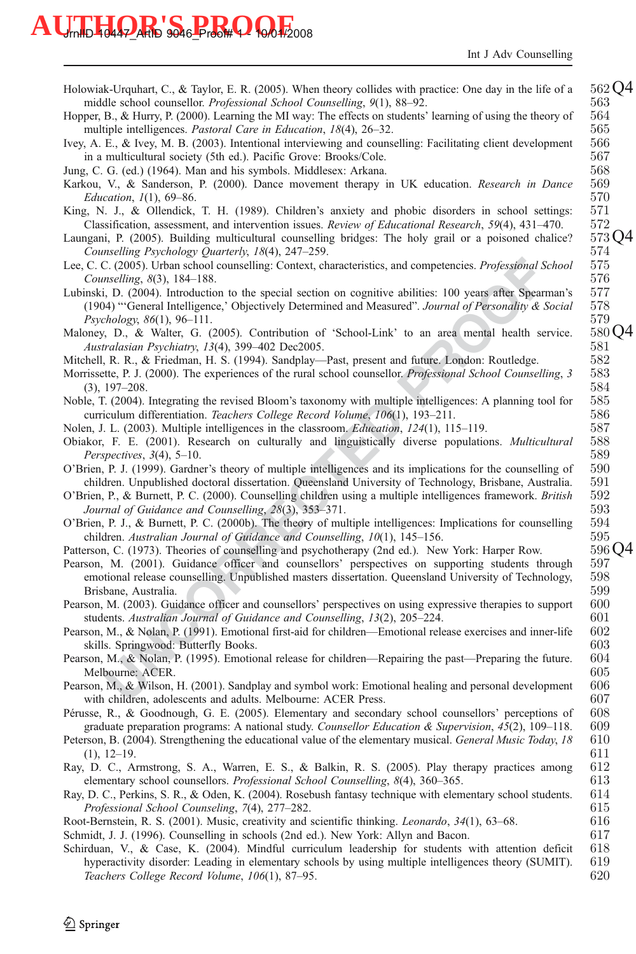<span id="page-14-0"></span>

| Holowiak-Urquhart, C., & Taylor, E. R. (2005). When theory collides with practice: One day in the life of a<br>middle school counsellor. Professional School Counselling, 9(1), 88–92.               | 562 Q4<br>563 |
|------------------------------------------------------------------------------------------------------------------------------------------------------------------------------------------------------|---------------|
| Hopper, B., & Hurry, P. (2000). Learning the MI way: The effects on students' learning of using the theory of                                                                                        | 564           |
| multiple intelligences. Pastoral Care in Education, 18(4), 26–32.                                                                                                                                    | 565           |
| Ivey, A. E., & Ivey, M. B. (2003). Intentional interviewing and counselling: Facilitating client development                                                                                         | 566           |
| in a multicultural society (5th ed.). Pacific Grove: Brooks/Cole.<br>Jung, C. G. (ed.) (1964). Man and his symbols. Middlesex: Arkana.                                                               | 567<br>568    |
| Karkou, V., & Sanderson, P. (2000). Dance movement therapy in UK education. Research in Dance                                                                                                        | 569           |
| <i>Education</i> , $1(1)$ , 69–86.                                                                                                                                                                   | 570           |
| King, N. J., & Ollendick, T. H. (1989). Children's anxiety and phobic disorders in school settings:                                                                                                  | 571           |
| Classification, assessment, and intervention issues. Review of Educational Research, 59(4), 431-470.                                                                                                 | 572           |
| Laungani, P. (2005). Building multicultural counselling bridges: The holy grail or a poisoned chalice?                                                                                               | 573 Q4        |
| Counselling Psychology Quarterly, 18(4), 247–259.                                                                                                                                                    | 574           |
| Lee, C. C. (2005). Urban school counselling: Context, characteristics, and competencies. Professional School                                                                                         | 575           |
| Counselling, 8(3), 184–188.                                                                                                                                                                          | 576           |
| Lubinski, D. (2004). Introduction to the special section on cognitive abilities: 100 years after Spearman's                                                                                          | 577           |
| (1904) "General Intelligence,' Objectively Determined and Measured". Journal of Personality & Social                                                                                                 | 578           |
| <i>Psychology</i> , $86(1)$ , $96-111$ .                                                                                                                                                             | 579           |
| Maloney, D., & Walter, G. (2005). Contribution of 'School-Link' to an area mental health service.<br>Australasian Psychiatry, 13(4), 399-402 Dec2005.                                                | 580 Q4<br>581 |
| Mitchell, R. R., & Friedman, H. S. (1994). Sandplay—Past, present and future. London: Routledge.                                                                                                     | 582           |
| Morrissette, P. J. (2000). The experiences of the rural school counsellor. <i>Professional School Counselling</i> , 3                                                                                | 583           |
| $(3), 197 - 208.$                                                                                                                                                                                    | 584           |
| Noble, T. (2004). Integrating the revised Bloom's taxonomy with multiple intelligences: A planning tool for                                                                                          | 585           |
| curriculum differentiation. Teachers College Record Volume, 106(1), 193-211.                                                                                                                         | 586           |
| Nolen, J. L. (2003). Multiple intelligences in the classroom. <i>Education</i> , 124(1), 115–119.                                                                                                    | 587           |
| Obiakor, F. E. (2001). Research on culturally and linguistically diverse populations. Multicultural                                                                                                  | 588           |
| Perspectives, $3(4)$ , $5-10$ .                                                                                                                                                                      | 589           |
| O'Brien, P. J. (1999). Gardner's theory of multiple intelligences and its implications for the counselling of                                                                                        | 590           |
| children. Unpublished doctoral dissertation. Queensland University of Technology, Brisbane, Australia.                                                                                               | 591           |
| O'Brien, P., & Burnett, P. C. (2000). Counselling children using a multiple intelligences framework. British<br>Journal of Guidance and Counselling, 28(3), 353-371.                                 | 592<br>593    |
| O'Brien, P. J., & Burnett, P. C. (2000b). The theory of multiple intelligences: Implications for counselling                                                                                         | 594           |
| children. Australian Journal of Guidance and Counselling, 10(1), 145-156.                                                                                                                            | 595           |
| Patterson, C. (1973). Theories of counselling and psychotherapy (2nd ed.). New York: Harper Row.                                                                                                     | 596 Q4        |
| Pearson, M. (2001). Guidance officer and counsellors' perspectives on supporting students through                                                                                                    | 597           |
| emotional release counselling. Unpublished masters dissertation. Queensland University of Technology,                                                                                                | 598           |
| Brisbane, Australia.                                                                                                                                                                                 | 599           |
| Pearson, M. (2003). Guidance officer and counsellors' perspectives on using expressive therapies to support                                                                                          | 600           |
| students. Australian Journal of Guidance and Counselling, 13(2), 205–224.                                                                                                                            | 601           |
| Pearson, M., & Nolan, P. (1991). Emotional first-aid for children—Emotional release exercises and inner-life                                                                                         | 602<br>603    |
| skills. Springwood: Butterfly Books.<br>Pearson, M., & Nolan, P. (1995). Emotional release for children—Repairing the past—Preparing the future.                                                     | 604           |
| Melbourne: ACER.                                                                                                                                                                                     | 605           |
| Pearson, M., & Wilson, H. (2001). Sandplay and symbol work: Emotional healing and personal development                                                                                               | 606           |
| with children, adolescents and adults. Melbourne: ACER Press.                                                                                                                                        | 607           |
| Pérusse, R., & Goodnough, G. E. (2005). Elementary and secondary school counsellors' perceptions of                                                                                                  | 608           |
| graduate preparation programs: A national study. Counsellor Education & Supervision, $45(2)$ , 109-118.                                                                                              | 609           |
| Peterson, B. (2004). Strengthening the educational value of the elementary musical. <i>General Music Today</i> , 18                                                                                  | 610           |
| $(1), 12-19.$                                                                                                                                                                                        | 611           |
| Ray, D. C., Armstrong, S. A., Warren, E. S., & Balkin, R. S. (2005). Play therapy practices among                                                                                                    | $612\,$       |
| elementary school counsellors. <i>Professional School Counselling</i> , 8(4), 360–365.<br>Ray, D. C., Perkins, S. R., & Oden, K. (2004). Rosebush fantasy technique with elementary school students. | 613<br>614    |
| Professional School Counseling, 7(4), 277–282.                                                                                                                                                       | 615           |
| Root-Bernstein, R. S. (2001). Music, creativity and scientific thinking. Leonardo, 34(1), 63–68.                                                                                                     | 616           |
| Schmidt, J. J. (1996). Counselling in schools (2nd ed.). New York: Allyn and Bacon.                                                                                                                  | 617           |
| Schirduan, V., & Case, K. (2004). Mindful curriculum leadership for students with attention deficit                                                                                                  | 618           |
| hyperactivity disorder: Leading in elementary schools by using multiple intelligences theory (SUMIT).                                                                                                | 619           |
| Teachers College Record Volume, 106(1), 87-95.                                                                                                                                                       | 620           |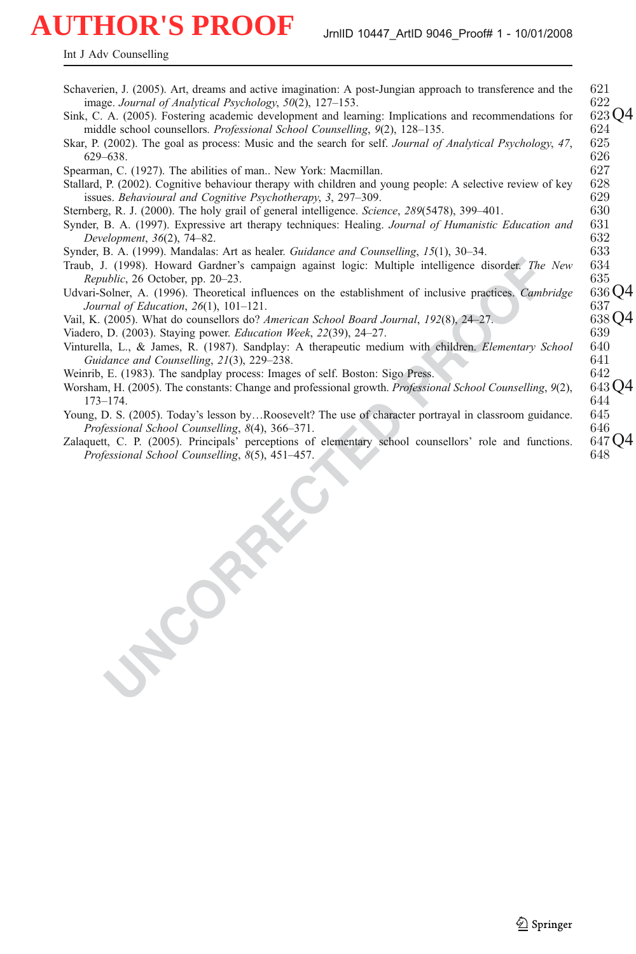<span id="page-15-0"></span>Int J Adv Counselling

| Schaverien, J. (2005). Art, dreams and active imagination: A post-Jungian approach to transference and the                          | 621        |
|-------------------------------------------------------------------------------------------------------------------------------------|------------|
| image. Journal of Analytical Psychology, 50(2), 127–153.                                                                            | 622        |
| Sink, C. A. (2005). Fostering academic development and learning: Implications and recommendations for                               | 623 Q4     |
| middle school counsellors. Professional School Counselling, 9(2), 128-135.                                                          | 624        |
| Skar, P. (2002). The goal as process: Music and the search for self. Journal of Analytical Psychology, 47,                          | 625        |
| $629 - 638.$                                                                                                                        | 626        |
| Spearman, C. (1927). The abilities of man New York: Macmillan.                                                                      | 627        |
| Stallard, P. (2002). Cognitive behaviour therapy with children and young people: A selective review of key                          | 628        |
| issues. Behavioural and Cognitive Psychotherapy, 3, 297–309.                                                                        | 629<br>630 |
| Sternberg, R. J. (2000). The holy grail of general intelligence. Science, 289(5478), 399–401.                                       | 631        |
| Synder, B. A. (1997). Expressive art therapy techniques: Healing. Journal of Humanistic Education and<br>Development, 36(2), 74-82. | 632        |
| Synder, B. A. (1999). Mandalas: Art as healer. Guidance and Counselling, 15(1), 30–34.                                              | 633        |
| Traub, J. (1998). Howard Gardner's campaign against logic: Multiple intelligence disorder. The New                                  | 634        |
| Republic, 26 October, pp. 20–23.                                                                                                    | 635        |
| Udvari-Solner, A. (1996). Theoretical influences on the establishment of inclusive practices. Cambridge                             | 636 Q4     |
| Journal of Education, 26(1), 101-121.                                                                                               | 637        |
| Vail, K. (2005). What do counsellors do? American School Board Journal, 192(8), 24–27.                                              | 638 Q4     |
| Viadero, D. (2003). Staying power. Education Week, 22(39), 24–27.                                                                   | 639        |
| Vinturella, L., & James, R. (1987). Sandplay: A therapeutic medium with children. Elementary School                                 | 640        |
| Guidance and Counselling, 21(3), 229-238.                                                                                           | 641        |
| Weinrib, E. (1983). The sandplay process: Images of self. Boston: Sigo Press.                                                       | 642        |
| Worsham, H. (2005). The constants: Change and professional growth. <i>Professional School Counselling</i> , 9(2),                   | 643 Q4     |
| $173 - 174.$                                                                                                                        | 644        |
| Young, D. S. (2005). Today's lesson byRoosevelt? The use of character portrayal in classroom guidance.                              | 645        |
| Professional School Counselling, 8(4), 366–371.                                                                                     | 646        |
| Zalaquett, C. P. (2005). Principals' perceptions of elementary school counsellors' role and functions.                              | 647 Q4     |
| Professional School Counselling, 8(5), 451-457.                                                                                     | 648        |
|                                                                                                                                     |            |
|                                                                                                                                     |            |
|                                                                                                                                     |            |
|                                                                                                                                     |            |
|                                                                                                                                     |            |
|                                                                                                                                     |            |
|                                                                                                                                     |            |
|                                                                                                                                     |            |
|                                                                                                                                     |            |
|                                                                                                                                     |            |
|                                                                                                                                     |            |
|                                                                                                                                     |            |
|                                                                                                                                     |            |
|                                                                                                                                     |            |
|                                                                                                                                     |            |
|                                                                                                                                     |            |
|                                                                                                                                     |            |